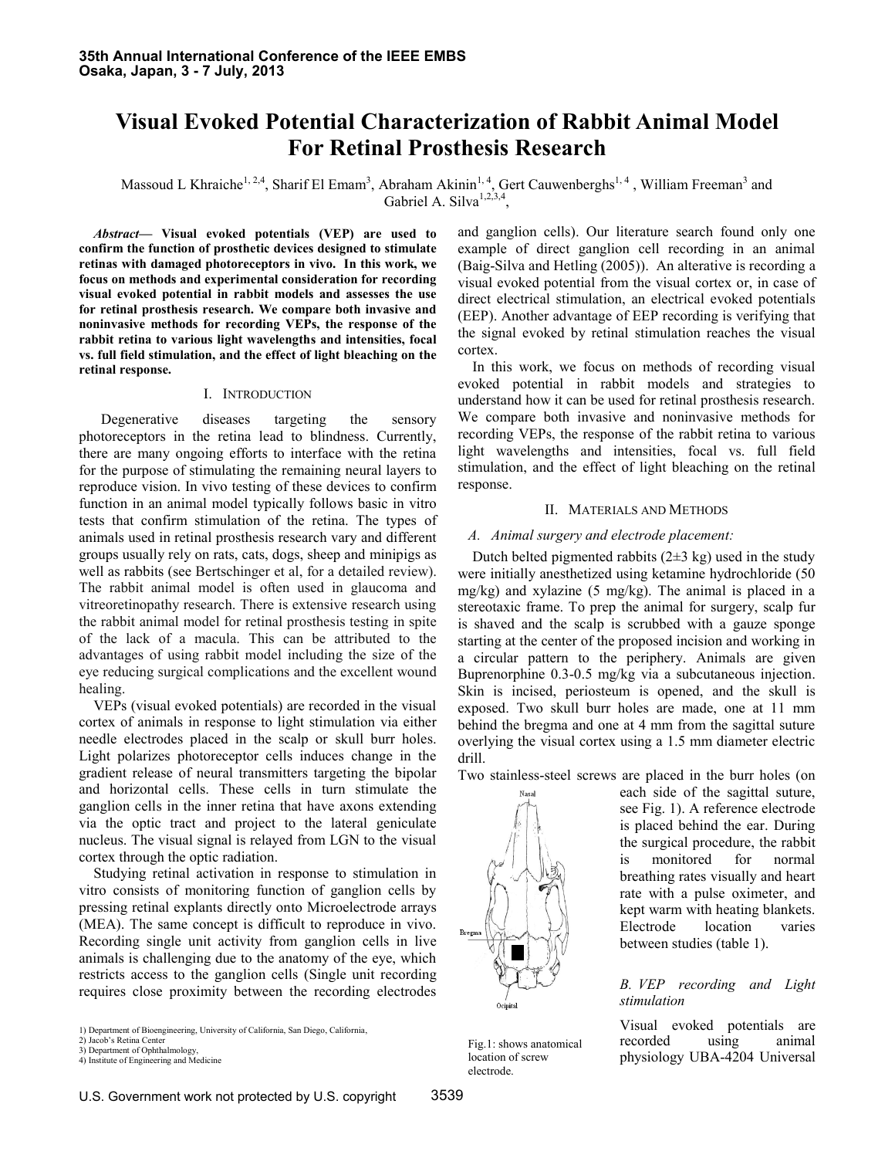# **Visual Evoked Potential Characterization of Rabbit Animal Model For Retinal Prosthesis Research**

Massoud L Khraiche<sup>1, 2,4</sup>, Sharif El Emam<sup>3</sup>, Abraham Akinin<sup>1, 4</sup>, Gert Cauwenberghs<sup>1, 4</sup>, William Freeman<sup>3</sup> and Gabriel A. Silva<sup>1,2,3,4</sup>,

*Abstract***— Visual evoked potentials (VEP) are used to confirm the function of prosthetic devices designed to stimulate retinas with damaged photoreceptors in vivo. In this work, we focus on methods and experimental consideration for recording visual evoked potential in rabbit models and assesses the use for retinal prosthesis research. We compare both invasive and noninvasive methods for recording VEPs, the response of the rabbit retina to various light wavelengths and intensities, focal vs. full field stimulation, and the effect of light bleaching on the retinal response.**

## I. INTRODUCTION

 Degenerative diseases targeting the sensory photoreceptors in the retina lead to blindness. Currently, there are many ongoing efforts to interface with the retina for the purpose of stimulating the remaining neural layers to reproduce vision. In vivo testing of these devices to confirm function in an animal model typically follows basic in vitro tests that confirm stimulation of the retina. The types of animals used in retinal prosthesis research vary and different groups usually rely on rats, cats, dogs, sheep and minipigs as well as rabbits (see Bertschinger et al, for a detailed review). The rabbit animal model is often used in glaucoma and vitreoretinopathy research. There is extensive research using the rabbit animal model for retinal prosthesis testing in spite of the lack of a macula. This can be attributed to the advantages of using rabbit model including the size of the eye reducing surgical complications and the excellent wound healing.

VEPs (visual evoked potentials) are recorded in the visual cortex of animals in response to light stimulation via either needle electrodes placed in the scalp or skull burr holes. Light polarizes photoreceptor cells induces change in the gradient release of neural transmitters targeting the bipolar and horizontal cells. These cells in turn stimulate the ganglion cells in the inner retina that have axons extending via the optic tract and project to the lateral geniculate nucleus. The visual signal is relayed from LGN to the visual cortex through the optic radiation.

Studying retinal activation in response to stimulation in vitro consists of monitoring function of ganglion cells by pressing retinal explants directly onto Microelectrode arrays (MEA). The same concept is difficult to reproduce in vivo. Recording single unit activity from ganglion cells in live animals is challenging due to the anatomy of the eye, which restricts access to the ganglion cells (Single unit recording requires close proximity between the recording electrodes

U.S. Government work not protected by U.S. copyright 3539

and ganglion cells). Our literature search found only one example of direct ganglion cell recording in an animal (Baig-Silva and Hetling (2005)). An alterative is recording a visual evoked potential from the visual cortex or, in case of direct electrical stimulation, an electrical evoked potentials (EEP). Another advantage of EEP recording is verifying that the signal evoked by retinal stimulation reaches the visual cortex.

In this work, we focus on methods of recording visual evoked potential in rabbit models and strategies to understand how it can be used for retinal prosthesis research. We compare both invasive and noninvasive methods for recording VEPs, the response of the rabbit retina to various light wavelengths and intensities, focal vs. full field stimulation, and the effect of light bleaching on the retinal response.

# II. MATERIALS AND METHODS

# *A. Animal surgery and electrode placement:*

Dutch belted pigmented rabbits  $(2\pm 3 \text{ kg})$  used in the study were initially anesthetized using ketamine hydrochloride (50 mg/kg) and xylazine (5 mg/kg). The animal is placed in a stereotaxic frame. To prep the animal for surgery, scalp fur is shaved and the scalp is scrubbed with a gauze sponge starting at the center of the proposed incision and working in a circular pattern to the periphery. Animals are given Buprenorphine 0.3-0.5 mg/kg via a subcutaneous injection. Skin is incised, periosteum is opened, and the skull is exposed. Two skull burr holes are made, one at 11 mm behind the bregma and one at 4 mm from the sagittal suture overlying the visual cortex using a 1.5 mm diameter electric drill.

Two stainless-steel screws are placed in the burr holes (on



Fig.1: shows anatomical location of screw electrode.

each side of the sagittal suture, see Fig. 1). A reference electrode is placed behind the ear. During the surgical procedure, the rabbit is monitored for normal breathing rates visually and heart rate with a pulse oximeter, and kept warm with heating blankets. Electrode location varies between studies (table 1).

# *B. VEP recording and Light stimulation*

Visual evoked potentials are recorded using animal physiology UBA-4204 Universal

<sup>1)</sup> Department of Bioengineering, University of California, San Diego, California,

<sup>2)</sup> Jacob's Retina Center

<sup>3)</sup> Department of Ophthalmology, 4) Institute of Engineering and Medicine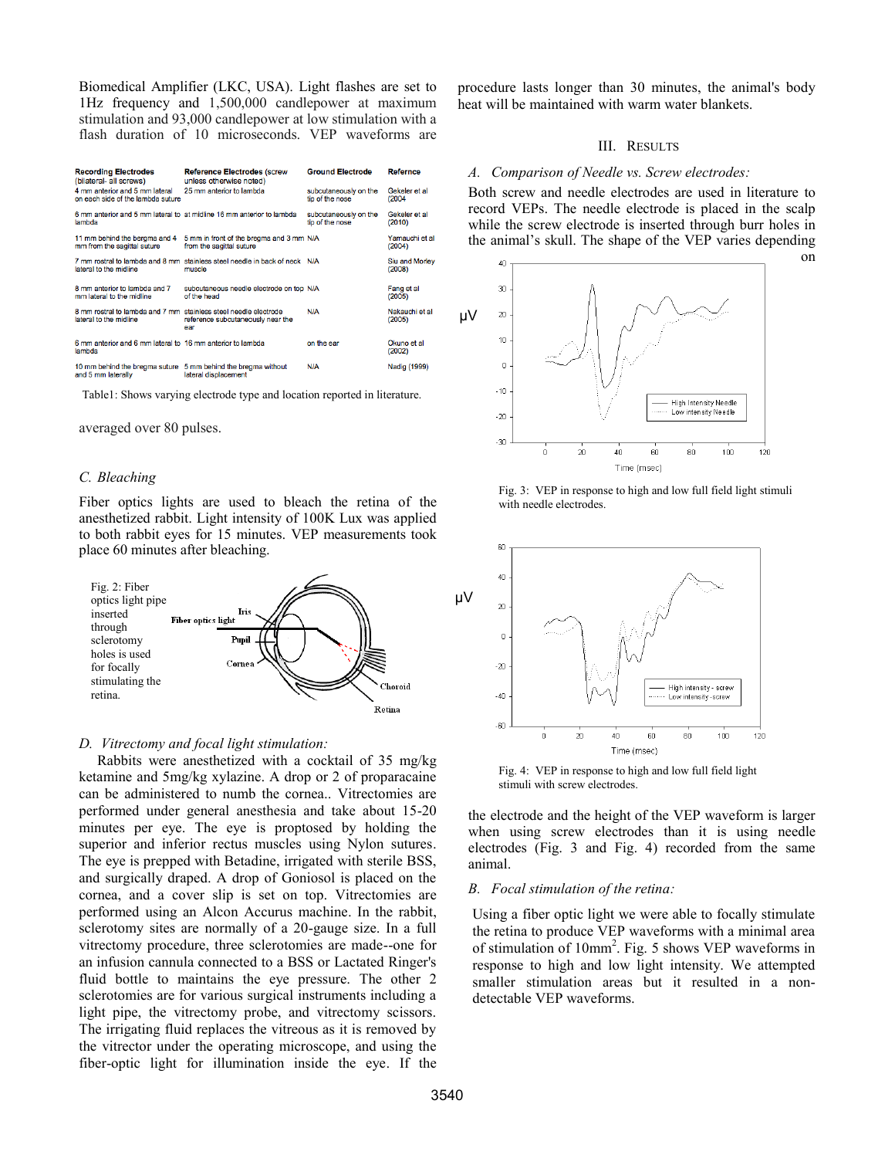Biomedical Amplifier (LKC, USA). Light flashes are set to 1Hz frequency and 1,500,000 candlepower at maximum stimulation and 93,000 candlepower at low stimulation with a flash duration of 10 microseconds. VEP waveforms are

| <b>Recording Electrodes</b><br>(bilateral- all screws)                                     | <b>Reference Electrodes (screw)</b><br>unless otherwise noted)                       | <b>Ground Electrode</b>                  | <b>Refernce</b>          |
|--------------------------------------------------------------------------------------------|--------------------------------------------------------------------------------------|------------------------------------------|--------------------------|
| 4 mm anterior and 5 mm lateral<br>on each side of the lambda suture                        | 25 mm anterior to lambda                                                             | subcutaneously on the<br>tip of the nose | Gekeler et al<br>(2004)  |
| lambda                                                                                     | 6 mm anterior and 5 mm lateral to at midline 16 mm anterior to lambda                | subcutaneously on the<br>tip of the nose | Gekeler et al.<br>(2010) |
| 11 mm behind the bergma and 4<br>mm from the sagittal suture                               | 5 mm in front of the bregma and 3 mm N/A<br>from the sagittal suture                 |                                          | Yamauchi et al<br>(2004) |
| lateral to the midline                                                                     | 7 mm rostral to lambda and 8 mm stainless steel needle in back of neck N/A<br>muscle |                                          | Siu and Morley<br>(2008) |
| 8 mm anterior to lambda and 7<br>mm lateral to the midline                                 | subcutaneous needle electrode on top N/A<br>of the head                              |                                          | Fang et al<br>(2005)     |
| 8 mm rostral to lambda and 7 mm stainless steel needle electrode<br>lateral to the midline | reference subcutaneously near the<br>ear                                             | N/A                                      | Nakauchi et al<br>(2005) |
| 6 mm anterior and 6 mm lateral to 16 mm anterior to lambda<br>lambda                       |                                                                                      | on the ear                               | Okuno et al<br>(2002)    |
| 10 mm behind the bregma suture 5 mm behind the bregma without<br>and 5 mm laterally        | lateral displacement                                                                 | N/A                                      | Nadig (1999)             |

Table1: Shows varying electrode type and location reported in literature.

averaged over 80 pulses.

#### *C. Bleaching*

Fiber optics lights are used to bleach the retina of the anesthetized rabbit. Light intensity of 100K Lux was applied to both rabbit eyes for 15 minutes. VEP measurements took place 60 minutes after bleaching.



#### *D. Vitrectomy and focal light stimulation:*

Rabbits were anesthetized with a cocktail of 35 mg/kg ketamine and 5mg/kg xylazine. A drop or 2 of proparacaine can be administered to numb the cornea.. Vitrectomies are performed under general anesthesia and take about 15-20 minutes per eye. The eye is proptosed by holding the superior and inferior rectus muscles using Nylon sutures. The eye is prepped with Betadine, irrigated with sterile BSS, and surgically draped. A drop of Goniosol is placed on the cornea, and a cover slip is set on top. Vitrectomies are performed using an Alcon Accurus machine. In the rabbit, sclerotomy sites are normally of a 20-gauge size. In a full vitrectomy procedure, three sclerotomies are made--one for an infusion cannula connected to a BSS or Lactated Ringer's fluid bottle to maintains the eye pressure. The other 2 sclerotomies are for various surgical instruments including a light pipe, the vitrectomy probe, and vitrectomy scissors. The irrigating fluid replaces the vitreous as it is removed by the vitrector under the operating microscope, and using the fiber-optic light for illumination inside the eye. If the procedure lasts longer than 30 minutes, the animal's body heat will be maintained with warm water blankets.

#### III. RESULTS

#### *A. Comparison of Needle vs. Screw electrodes:*

Both screw and needle electrodes are used in literature to record VEPs. The needle electrode is placed in the scalp while the screw electrode is inserted through burr holes in the animal's skull. The shape of the VEP varies depending on



Fig. 3: VEP in response to high and low full field light stimuli with needle electrodes.



Fig. 4: VEP in response to high and low full field light stimuli with screw electrodes.

the electrode and the height of the VEP waveform is larger when using screw electrodes than it is using needle electrodes (Fig. 3 and Fig. 4) recorded from the same animal.

## *B. Focal stimulation of the retina:*

Using a fiber optic light we were able to focally stimulate the retina to produce VEP waveforms with a minimal area of stimulation of 10mm<sup>2</sup>. Fig. 5 shows VEP waveforms in response to high and low light intensity. We attempted smaller stimulation areas but it resulted in a nondetectable VEP waveforms.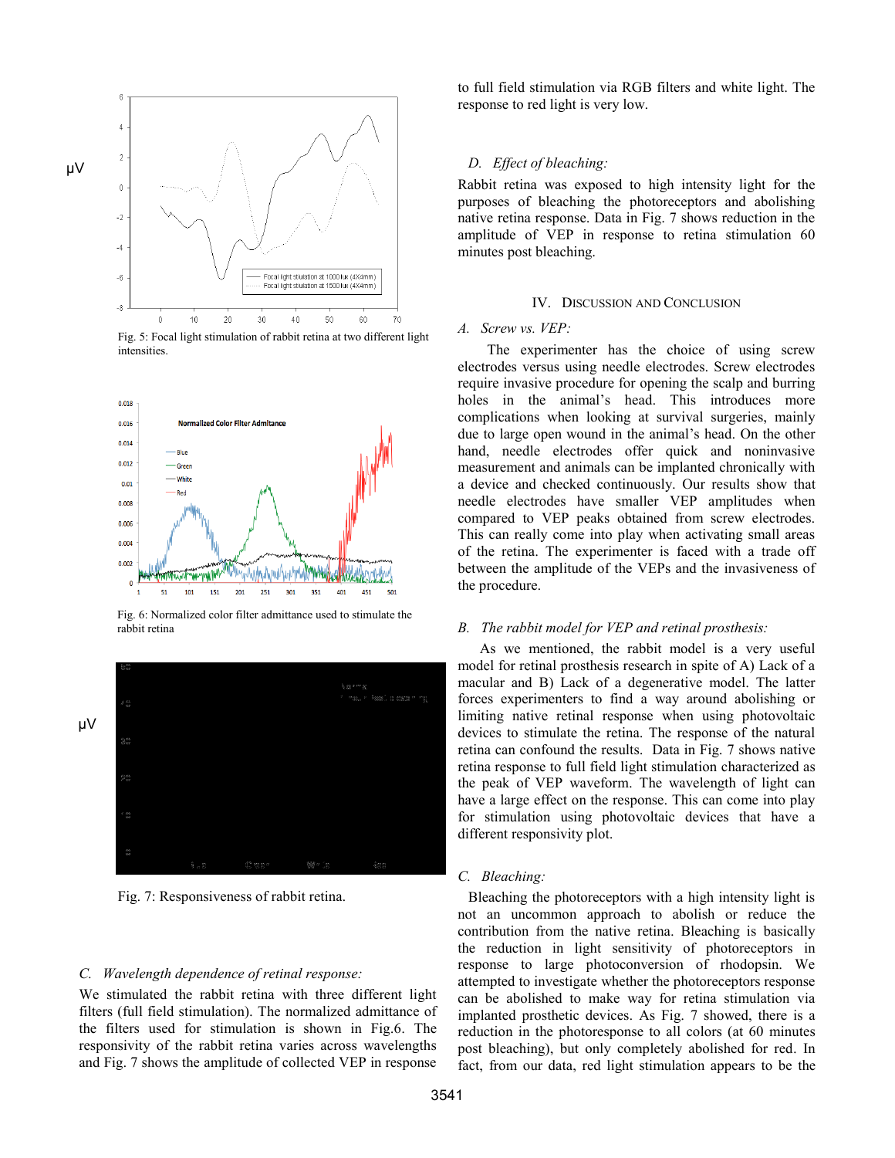

Fig. 5: Focal light stimulation of rabbit retina at two different light intensities.



Fig. 6: Normalized color filter admittance used to stimulate the rabbit retina



Fig. 7: Responsiveness of rabbit retina.

## *C. Wavelength dependence of retinal response:*

We stimulated the rabbit retina with three different light filters (full field stimulation). The normalized admittance of the filters used for stimulation is shown in Fig.6. The responsivity of the rabbit retina varies across wavelengths and Fig. 7 shows the amplitude of collected VEP in response

to full field stimulation via RGB filters and white light. The response to red light is very low.

## *D. Effect of bleaching:*

Rabbit retina was exposed to high intensity light for the purposes of bleaching the photoreceptors and abolishing native retina response. Data in Fig. 7 shows reduction in the amplitude of VEP in response to retina stimulation 60 minutes post bleaching.

#### IV. DISCUSSION AND CONCLUSION

#### *A. Screw vs. VEP:*

 The experimenter has the choice of using screw electrodes versus using needle electrodes. Screw electrodes require invasive procedure for opening the scalp and burring holes in the animal's head. This introduces more complications when looking at survival surgeries, mainly due to large open wound in the animal's head. On the other hand, needle electrodes offer quick and noninvasive measurement and animals can be implanted chronically with a device and checked continuously. Our results show that needle electrodes have smaller VEP amplitudes when compared to VEP peaks obtained from screw electrodes. This can really come into play when activating small areas of the retina. The experimenter is faced with a trade off between the amplitude of the VEPs and the invasiveness of the procedure.

## *B. The rabbit model for VEP and retinal prosthesis:*

 As we mentioned, the rabbit model is a very useful model for retinal prosthesis research in spite of A) Lack of a macular and B) Lack of a degenerative model. The latter forces experimenters to find a way around abolishing or limiting native retinal response when using photovoltaic devices to stimulate the retina. The response of the natural retina can confound the results. Data in Fig. 7 shows native retina response to full field light stimulation characterized as the peak of VEP waveform. The wavelength of light can have a large effect on the response. This can come into play for stimulation using photovoltaic devices that have a different responsivity plot.

#### *C. Bleaching:*

Bleaching the photoreceptors with a high intensity light is not an uncommon approach to abolish or reduce the contribution from the native retina. Bleaching is basically the reduction in light sensitivity of photoreceptors in response to large photoconversion of rhodopsin. We attempted to investigate whether the photoreceptors response can be abolished to make way for retina stimulation via implanted prosthetic devices. As Fig. 7 showed, there is a reduction in the photoresponse to all colors (at 60 minutes post bleaching), but only completely abolished for red. In fact, from our data, red light stimulation appears to be the